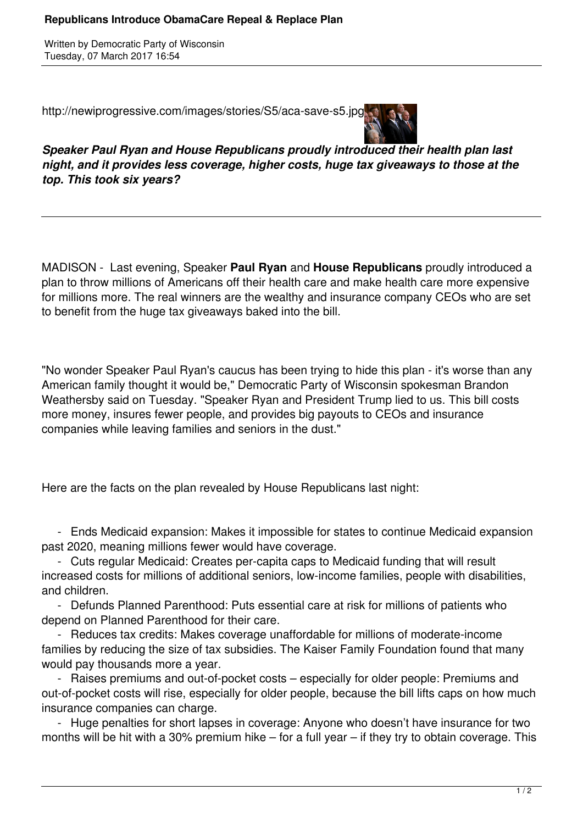Written by Democratic Party of Wisconsin Tuesday, 07 March 2017 16:54

http://newiprogressive.com/images/stories/S5/aca-save-s5.jpg



*Speaker Paul Ryan and House Republicans proudly introduced their health plan last night, and it provides less coverage, higher costs, huge tax giveaways to those at the top. This took six years?*

MADISON - Last evening, Speaker **Paul Ryan** and **House Republicans** proudly introduced a plan to throw millions of Americans off their health care and make health care more expensive for millions more. The real winners are the wealthy and insurance company CEOs who are set to benefit from the huge tax giveaways baked into the bill.

"No wonder Speaker Paul Ryan's caucus has been trying to hide this plan - it's worse than any American family thought it would be," Democratic Party of Wisconsin spokesman Brandon Weathersby said on Tuesday. "Speaker Ryan and President Trump lied to us. This bill costs more money, insures fewer people, and provides big payouts to CEOs and insurance companies while leaving families and seniors in the dust."

Here are the facts on the plan revealed by House Republicans last night:

 - Ends Medicaid expansion: Makes it impossible for states to continue Medicaid expansion past 2020, meaning millions fewer would have coverage.

 - Cuts regular Medicaid: Creates per-capita caps to Medicaid funding that will result increased costs for millions of additional seniors, low-income families, people with disabilities, and children.

 - Defunds Planned Parenthood: Puts essential care at risk for millions of patients who depend on Planned Parenthood for their care.

 - Reduces tax credits: Makes coverage unaffordable for millions of moderate-income families by reducing the size of tax subsidies. The Kaiser Family Foundation found that many would pay thousands more a year.

 - Raises premiums and out-of-pocket costs – especially for older people: Premiums and out-of-pocket costs will rise, especially for older people, because the bill lifts caps on how much insurance companies can charge.

 - Huge penalties for short lapses in coverage: Anyone who doesn't have insurance for two months will be hit with a 30% premium hike – for a full year – if they try to obtain coverage. This